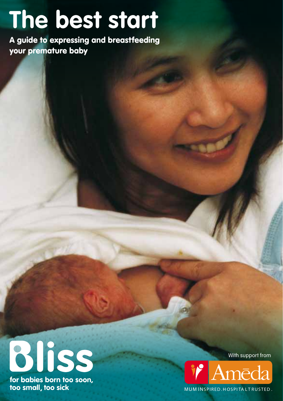# **The best start**

A guide to expressing and breastfeeding your premature baby



for babies born too soon, too small, too sick

With support from

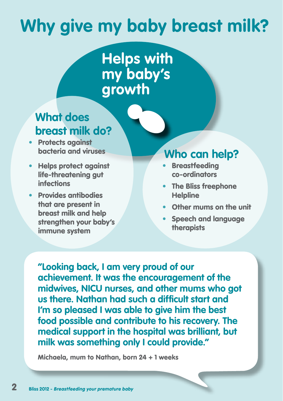# **Why give my baby breast milk?**

**Helps with my baby's growth**

### **What does breast milk do?**

- Protects against bacteria and viruses
- Helps protect against life-threatening gut infections
- Provides antibodies that are present in breast milk and help strengthen your baby's immune system

### **Who can help?**

- Breastfeeding co-ordinators
- The Bliss freephone **Helpline**
- Other mums on the unit
- Speech and language therapists

**"Looking back, I am very proud of our achievement. It was the encouragement of the midwives, NICU nurses, and other mums who got us there. Nathan had such a difficult start and I'm so pleased I was able to give him the best food possible and contribute to his recovery. The medical support in the hospital was brilliant, but milk was something only I could provide."**

Michaela, mum to Nathan, born 24 + 1 weeks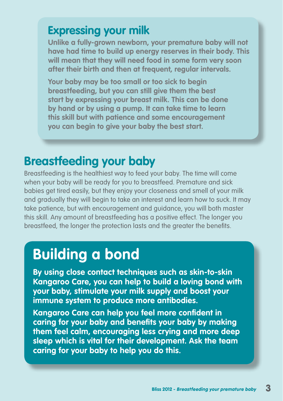### **Expressing your milk**

**Unlike a fully-grown newborn, your premature baby will not have had time to build up energy reserves in their body. This will mean that they will need food in some form very soon after their birth and then at frequent, regular intervals.**

**Your baby may be too small or too sick to begin breastfeeding, but you can still give them the best start by expressing your breast milk. This can be done by hand or by using a pump. It can take time to learn this skill but with patience and some encouragement you can begin to give your baby the best start.**

### **Breastfeeding your baby**

Breastfeeding is the healthiest way to feed your baby. The time will come when your baby will be ready for you to breastfeed. Premature and sick babies get tired easily, but they enjoy your closeness and smell of your milk and gradually they will begin to take an interest and learn how to suck. It may take patience, but with encouragement and guidance, you will both master this skill. Any amount of breastfeeding has a positive effect. The longer you breastfeed, the longer the protection lasts and the greater the benefits.

### **Building a bond**

**By using close contact techniques such as skin-to-skin Kangaroo Care, you can help to build a loving bond with your baby, stimulate your milk supply and boost your immune system to produce more antibodies.** 

**Kangaroo Care can help you feel more confident in caring for your baby and benefits your baby by making them feel calm, encouraging less crying and more deep sleep which is vital for their development. Ask the team caring for your baby to help you do this.**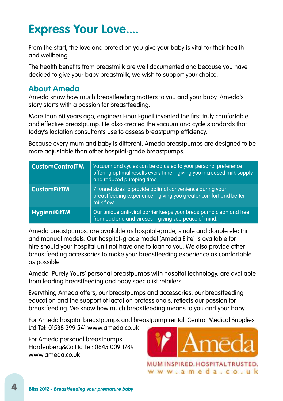### **Express Your Love....**

From the start, the love and protection you give your baby is vital for their health and wellbeing.

The health benefits from breastmilk are well documented and because you have decided to give your baby breastmilk, we wish to support your choice.

#### **About Ameda**

Ameda know how much breastfeeding matters to you and your baby. Ameda's story starts with a passion for breastfeeding.

More than 60 years ago, engineer Einar Egnell invented the first truly comfortable and effective breastpump. He also created the vacuum and cycle standards that today's lactation consultants use to assess breastpump efficiency.

Because every mum and baby is different, Ameda breastpumps are designed to be more adjustable than other hospital-grade breastpumps:

| <b>CustomControlTM</b> | Vacuum and cycles can be adjusted to your personal preference<br>offering optimal results every time – giving you increased milk supply<br>and reduced pumping time. |
|------------------------|----------------------------------------------------------------------------------------------------------------------------------------------------------------------|
| <b>CustomFitTM</b>     | 7 funnel sizes to provide optimal convenience during your<br>breastfeeding experience – giving you greater comfort and better<br>milk flow.                          |
| <b>HygieniKitTM</b>    | Our unique anti-viral barrier keeps your breastpump clean and free<br>from bacteria and viruses - giving you peace of mind.                                          |

Ameda breastpumps, are available as hospital-grade, single and double electric and manual models. Our hospital-grade model (Ameda Elite) is available for hire should your hospital unit not have one to loan to you. We also provide other breastfeeding accessories to make your breastfeeding experience as comfortable as possible.

Ameda 'Purely Yours' personal breastpumps with hospital technology, are available from leading breastfeeding and baby specialist retailers.

Everything Ameda offers, our breastpumps and accessories, our breastfeeding education and the support of lactation professionals, reflects our passion for breastfeeding. We know how much breastfeeding means to you and your baby.

For Ameda hospital breastpumps and breastpump rental: Central Medical Supplies Ltd Tel: 01538 399 541 www.ameda.co.uk

For Ameda personal breastpumps: Hardenberg&Co Ltd Tel: 0845 009 1789 www.ameda.co.uk



MUM INSPIRED. HOSPITAL TRUSTED. www.ameda.co.uk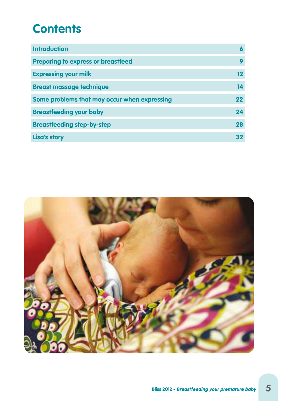### **Contents**

| <b>Introduction</b>                          |    |
|----------------------------------------------|----|
| <b>Preparing to express or breastfeed</b>    |    |
| <b>Expressing your milk</b>                  | 12 |
| <b>Breast massage technique</b>              | 14 |
| Some problems that may occur when expressing | 22 |
| <b>Breastfeeding your baby</b>               | 24 |
| <b>Breastfeeding step-by-step</b>            |    |
| Lisa's story                                 | 32 |

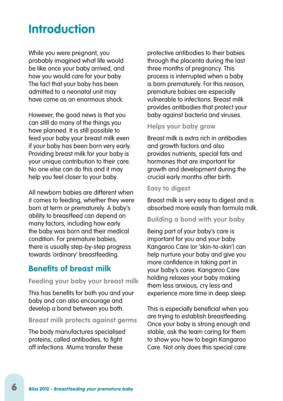### **Introduction**

While you were pregnant, you probably imagined what life would be like once your baby arrived, and how you would care for your baby. The fact that your baby has been admitted to a neonatal unit may have come as an enormous shock.

However, the good news is that you can still do many of the things you have planned. It is still possible to feed your baby your breast milk even if your baby has been born very early. Providing breast milk for your baby is your unique contribution to their care. No one else can do this and it may help you feel closer to your baby.

All newborn babies are different when it comes to feeding, whether they were born at term or prematurely. A baby's ability to breastfeed can depend on many factors, including how early the baby was born and their medical condition. For premature babies, there is usually step-by-step progress towards 'ordinary' breastfeeding.

#### **Benefits of breast milk**

#### **Feeding your baby your breast milk**

This has benefits for both you and your baby and can also encourage and develop a bond between you both.

**Breast milk protects against germs**

The body manufactures specialised proteins, called antibodies, to fight off infections. Mums transfer these

protective antibodies to their babies through the placenta during the last three months of pregnancy. This process is interrupted when a baby is born prematurely. For this reason, premature babies are especially vulnerable to infections. Breast milk provides antibodies that protect your baby against bacteria and viruses.

#### **Helps your baby grow**

Breast milk is extra rich in antibodies and growth factors and also provides nutrients, special fats and hormones that are important for growth and development during the crucial early months after birth.

#### **Easy to digest**

Breast milk is very easy to digest and is absorbed more easily than formula milk.

#### **Building a bond with your baby**

Being part of your baby's care is important for you and your baby. Kangaroo Care (or 'skin-to-skin') can help nurture your baby and give you more confidence in taking part in your baby's cares. Kangaroo Care holding relaxes your baby making them less anxious, cry less and experience more time in deep sleep.

This is especially beneficial when you are trying to establish breastfeeding. Once your baby is strong enough and stable, ask the team caring for them to show you how to begin Kangaroo Care. Not only does this special care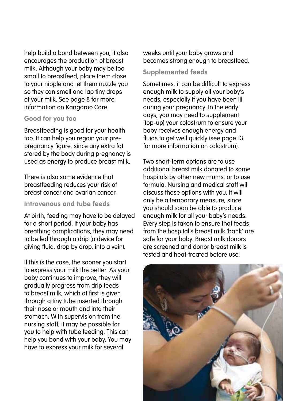help build a bond between you, it also encourages the production of breast milk. Although your baby may be too small to breastfeed, place them close to your nipple and let them nuzzle you so they can smell and lap tiny drops of your milk. See page 8 for more information on Kangaroo Care.

#### **Good for you too**

Breastfeeding is good for your health too. It can help you regain your prepregnancy figure, since any extra fat stored by the body during pregnancy is used as energy to produce breast milk.

There is also some evidence that breastfeeding reduces your risk of breast cancer and ovarian cancer.

#### **Intravenous and tube feeds**

At birth, feeding may have to be delayed for a short period. If your baby has breathing complications, they may need to be fed through a drip (a device for giving fluid, drop by drop, into a vein).

If this is the case, the sooner you start to express your milk the better. As your baby continues to improve, they will gradually progress from drip feeds to breast milk, which at first is given through a tiny tube inserted through their nose or mouth and into their stomach. With supervision from the nursing staff, it may be possible for you to help with tube feeding. This can help you bond with your baby. You may have to express your milk for several

weeks until your baby grows and becomes strong enough to breastfeed.

#### **Supplemented feeds**

Sometimes, it can be difficult to express enough milk to supply all your baby's needs, especially if you have been ill during your pregnancy. In the early days, you may need to supplement (top-up) your colostrum to ensure your baby receives enough energy and fluids to get well quickly (see page 13 for more information on colostrum).

Two short-term options are to use additional breast milk donated to some hospitals by other new mums, or to use formula. Nursing and medical staff will discuss these options with you. It will only be a temporary measure, since you should soon be able to produce enough milk for all your baby's needs. Every step is taken to ensure that feeds from the hospital's breast milk 'bank' are safe for your baby. Breast milk donors are screened and donor breast milk is tested and heat-treated before use.

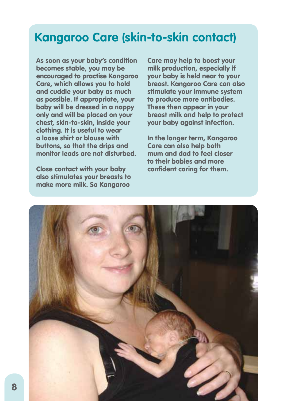### **Kangaroo Care (skin-to-skin contact)**

As soon as your baby's condition becomes stable, you may be encouraged to practise Kangaroo Care, which allows you to hold and cuddle your baby as much as possible. If appropriate, your baby will be dressed in a nappy only and will be placed on your chest, skin-to-skin, inside your clothing. It is useful to wear a loose shirt or blouse with buttons, so that the drips and monitor leads are not disturbed.

Close contact with your baby also stimulates your breasts to make more milk. So Kangaroo

Care may help to boost your milk production, especially if your baby is held near to your breast. Kangaroo Care can also stimulate your immune system to produce more antibodies. These then appear in your breast milk and help to protect your baby against infection.

In the longer term, Kangaroo Care can also help both mum and dad to feel closer to their babies and more confident caring for them.

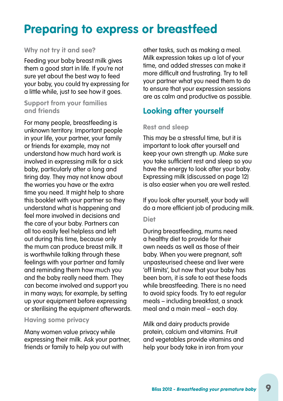### **Preparing to express or breastfeed**

#### **Why not try it and see?**

Feeding your baby breast milk gives them a good start in life. If you're not sure yet about the best way to feed your baby, you could try expressing for a little while, just to see how it goes.

#### **Support from your families and friends**

For many people, breastfeeding is unknown territory. Important people in your life, your partner, your family or friends for example, may not understand how much hard work is involved in expressing milk for a sick baby, particularly after a long and tiring day. They may not know about the worries you have or the extra time you need. It might help to share this booklet with your partner so they understand what is happening and feel more involved in decisions and the care of your baby. Partners can all too easily feel helpless and left out during this time, because only the mum can produce breast milk. It is worthwhile talking through these feelings with your partner and family and reminding them how much you and the baby really need them. They can become involved and support you in many ways; for example, by setting up your equipment before expressing or sterilising the equipment afterwards.

#### **Having some privacy**

Many women value privacy while expressing their milk. Ask your partner, friends or family to help you out with

other tasks, such as making a meal. Milk expression takes up a lot of your time, and added stresses can make it more difficult and frustrating. Try to tell your partner what you need them to do to ensure that your expression sessions are as calm and productive as possible.

#### **Looking after yourself**

#### **Rest and sleep**

This may be a stressful time, but it is important to look after yourself and keep your own strength up. Make sure you take sufficient rest and sleep so you have the energy to look after your baby. Expressing milk (discussed on page 12) is also easier when you are well rested.

If you look after yourself, your body will do a more efficient job of producing milk.

#### **Diet**

During breastfeeding, mums need a healthy diet to provide for their own needs as well as those of their baby. When you were pregnant, soft unpasteurised cheese and liver were 'off limits', but now that your baby has been born, it is safe to eat these foods while breastfeeding. There is no need to avoid spicy foods. Try to eat regular meals – including breakfast, a snack meal and a main meal – each day.

Milk and dairy products provide protein, calcium and vitamins. Fruit and vegetables provide vitamins and help your body take in iron from your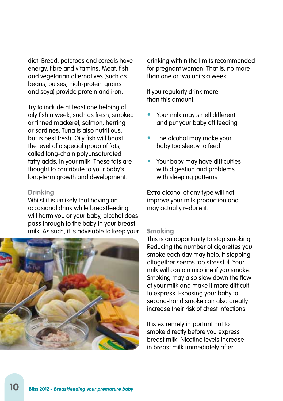diet. Bread, potatoes and cereals have energy, fibre and vitamins. Meat, fish and vegetarian alternatives (such as beans, pulses, high-protein grains and soya) provide protein and iron.

Try to include at least one helping of oily fish a week, such as fresh, smoked or tinned mackerel, salmon, herring or sardines. Tuna is also nutritious, but is best fresh. Oily fish will boost the level of a special group of fats, called long-chain polyunsaturated fatty acids, in your milk. These fats are thought to contribute to your baby's long-term growth and development.

#### **Drinking**

Whilst it is unlikely that having an occasional drink while breastfeeding will harm you or your baby, alcohol does pass through to the baby in your breast milk. As such, it is advisable to keep your



drinking within the limits recommended for pregnant women. That is, no more than one or two units a week.

If you regularly drink more than this amount:

- Your milk may smell different and put your baby off feeding
- The alcohol may make your baby too sleepy to feed
- Your baby may have difficulties with digestion and problems with sleeping patterns.

Extra alcohol of any type will not improve your milk production and may actually reduce it.

#### **Smoking**

This is an opportunity to stop smoking. Reducing the number of cigarettes you smoke each day may help, if stopping altogether seems too stressful. Your milk will contain nicotine if you smoke. Smoking may also slow down the flow of your milk and make it more difficult to express. Exposing your baby to second-hand smoke can also greatly increase their risk of chest infections.

It is extremely important not to smoke directly before you express breast milk. Nicotine levels increase in breast milk immediately after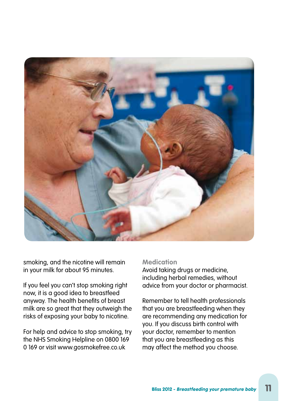

smoking, and the nicotine will remain in your milk for about 95 minutes.

If you feel you can't stop smoking right now, it is a good idea to breastfeed anyway. The health benefits of breast milk are so great that they outweigh the risks of exposing your baby to nicotine.

For help and advice to stop smoking, try the NHS Smoking Helpline on 0800 169 0 169 or visit www.gosmokefree.co.uk

#### **Medication**

Avoid taking drugs or medicine, including herbal remedies, without advice from your doctor or pharmacist.

Remember to tell health professionals that you are breastfeeding when they are recommending any medication for you. If you discuss birth control with your doctor, remember to mention that you are breastfeeding as this may affect the method you choose.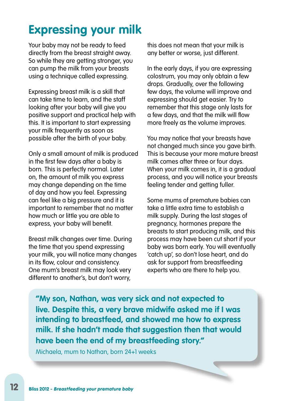### **Expressing your milk**

Your baby may not be ready to feed directly from the breast straight away. So while they are getting stronger, you can pump the milk from your breasts using a technique called expressing.

Expressing breast milk is a skill that can take time to learn, and the staff looking after your baby will give you positive support and practical help with this. It is important to start expressing your milk frequently as soon as possible after the birth of your baby.

Only a small amount of milk is produced in the first few days after a baby is born. This is perfectly normal. Later on, the amount of milk you express may change depending on the time of day and how you feel. Expressing can feel like a big pressure and it is important to remember that no matter how much or little you are able to express, your baby will benefit.

Breast milk changes over time. During the time that you spend expressing your milk, you will notice many changes in its flow, colour and consistency. One mum's breast milk may look very different to another's, but don't worry,

this does not mean that your milk is any better or worse, just different.

In the early days, if you are expressing colostrum, you may only obtain a few drops. Gradually, over the following few days, the volume will improve and expressing should get easier. Try to remember that this stage only lasts for a few days, and that the milk will flow more freely as the volume improves.

You may notice that your breasts have not changed much since you gave birth. This is because your more mature breast milk comes after three or four days. When your milk comes in, it is a gradual process, and you will notice your breasts feeling tender and getting fuller.

Some mums of premature babies can take a little extra time to establish a milk supply. During the last stages of pregnancy, hormones prepare the breasts to start producing milk, and this process may have been cut short if your baby was born early. You will eventually 'catch up', so don't lose heart, and do ask for support from breastfeeding experts who are there to help you.

**"My son, Nathan, was very sick and not expected to live. Despite this, a very brave midwife asked me if I was intending to breastfeed, and showed me how to express milk. If she hadn't made that suggestion then that would have been the end of my breastfeeding story."**

Michaela, mum to Nathan, born 24+1 weeks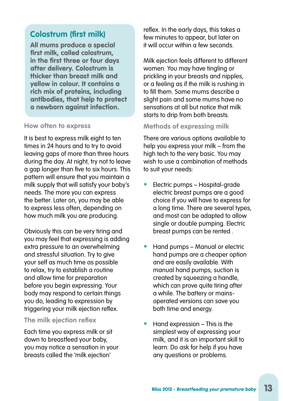#### **Colostrum (first milk)**

All mums produce a special first milk, called colostrum, in the first three or four days after delivery. Colostrum is thicker than breast milk and yellow in colour. It contains a rich mix of proteins, including antibodies, that help to protect a newborn against infection.

#### **How often to express**

It is best to express milk eight to ten times in 24 hours and to try to avoid leaving gaps of more than three hours during the day. At night, try not to leave a gap longer than five to six hours. This pattern will ensure that you maintain a milk supply that will satisfy your baby's needs. The more you can express the better. Later on, you may be able to express less often, depending on how much milk you are producing.

Obviously this can be very tiring and you may feel that expressing is adding extra pressure to an overwhelming and stressful situation. Try to give your self as much time as possible to relax, try to establish a routine and allow time for preparation before you begin expressing. Your body may respond to certain things you do, leading to expression by triggering your milk ejection reflex.

#### **The milk ejection reflex**

Each time you express milk or sit down to breastfeed your baby, you may notice a sensation in your breasts called the 'milk ejection'

reflex. In the early days, this takes a few minutes to appear, but later on it will occur within a few seconds.

Milk ejection feels different to different women. You may have tingling or prickling in your breasts and nipples, or a feeling as if the milk is rushing in to fill them. Some mums describe a slight pain and some mums have no sensations at all but notice that milk starts to drip from both breasts.

#### **Methods of expressing milk**

There are various options available to help you express your milk – from the high tech to the very basic. You may wish to use a combination of methods to suit your needs:

- Electric pumps Hospital-grade electric breast pumps are a good choice if you will have to express for a long time. There are several types, and most can be adapted to allow single or double pumping. Electric breast pumps can be rented .
- Hand pumps Manual or electric hand pumps are a cheaper option and are easily available. With manual hand pumps, suction is created by squeezing a handle, which can prove quite tiring after a while. The battery or mainsoperated versions can save you both time and energy.
- Hand expression This is the simplest way of expressing your milk, and it is an important skill to learn. Do ask for help if you have any questions or problems.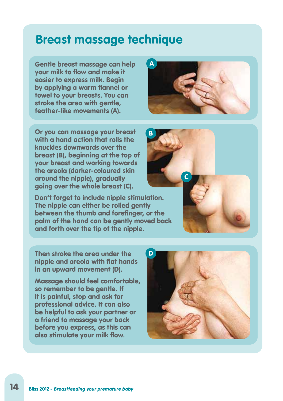### **Breast massage technique**

Gentle breast massage can help your milk to flow and make it easier to express milk. Begin by applying a warm flannel or towel to your breasts. You can stroke the area with gentle, feather-like movements (A).



Or you can massage your breast with a hand action that rolls the knuckles downwards over the breast (B), beginning at the top of your breast and working towards the areola (darker-coloured skin around the nipple), gradually going over the whole breast (C).

Don't forget to include nipple stimulation. The nipple can either be rolled gently between the thumb and forefinger, or the palm of the hand can be gently moved back and forth over the tip of the nipple.

Then stroke the area under the nipple and areola with flat hands in an upward movement (D).

Massage should feel comfortable, so remember to be gentle. If it is painful, stop and ask for professional advice. It can also be helpful to ask your partner or a friend to massage your back before you express, as this can also stimulate your milk flow.



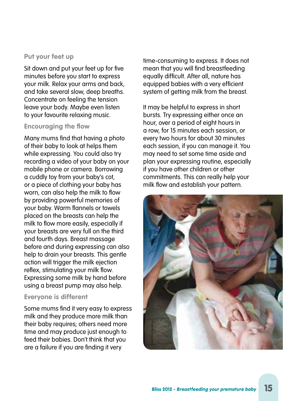#### **Put your feet up**

Sit down and put your feet up for five minutes before you start to express your milk. Relax your arms and back, and take several slow, deep breaths. Concentrate on feeling the tension leave your body. Maybe even listen to your favourite relaxing music.

#### **Encouraging the flow**

Many mums find that having a photo of their baby to look at helps them while expressing. You could also try recording a video of your baby on your mobile phone or camera. Borrowing a cuddly toy from your baby's cot, or a piece of clothing your baby has worn, can also help the milk to flow by providing powerful memories of your baby. Warm flannels or towels placed on the breasts can help the milk to flow more easily, especially if your breasts are very full on the third and fourth days. Breast massage before and during expressing can also help to drain your breasts. This gentle action will trigger the milk ejection reflex, stimulating your milk flow. Expressing some milk by hand before using a breast pump may also help.

#### **Everyone is different**

Some mums find it very easy to express milk and they produce more milk than their baby requires; others need more time and may produce just enough to feed their babies. Don't think that you are a failure if you are finding it very

time-consuming to express. It does not mean that you will find breastfeeding equally difficult. After all, nature has equipped babies with a very efficient system of getting milk from the breast.

It may be helpful to express in short bursts. Try expressing either once an hour, over a period of eight hours in a row, for 15 minutes each session, or every two hours for about 30 minutes each session, if you can manage it. You may need to set some time aside and plan your expressing routine, especially if you have other children or other commitments. This can really help your milk flow and establish your pattern.

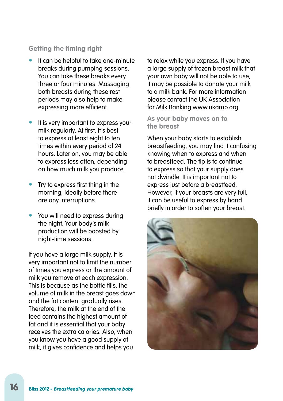#### **Getting the timing right**

- It can be helpful to take one-minute breaks during pumping sessions. You can take these breaks every three or four minutes. Massaging both breasts during these rest periods may also help to make expressing more efficient.
- It is very important to express your milk regularly. At first, it's best to express at least eight to ten times within every period of 24 hours. Later on, you may be able to express less often, depending on how much milk you produce.
- Try to express first thing in the morning, ideally before there are any interruptions.
- You will need to express during the night. Your body's milk production will be boosted by night-time sessions.

If you have a large milk supply, it is very important not to limit the number of times you express or the amount of milk you remove at each expression. This is because as the bottle fills, the volume of milk in the breast goes down and the fat content gradually rises. Therefore, the milk at the end of the feed contains the highest amount of fat and it is essential that your baby receives the extra calories. Also, when you know you have a good supply of milk, it gives confidence and helps you

to relax while you express. If you have a large supply of frozen breast milk that your own baby will not be able to use, it may be possible to donate your milk to a milk bank. For more information please contact the UK Association for Milk Banking www.ukamb.org

#### **As your baby moves on to the breast**

When your baby starts to establish breastfeeding, you may find it confusing knowing when to express and when to breastfeed. The tip is to continue to express so that your supply does not dwindle. It is important not to express just before a breastfeed. However, if your breasts are very full, it can be useful to express by hand briefly in order to soften your breast.

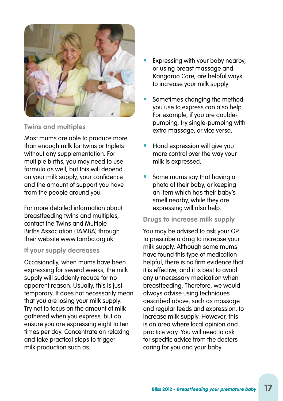

#### **Twins and multiples**

Most mums are able to produce more than enough milk for twins or triplets without any supplementation. For multiple births, you may need to use formula as well, but this will depend on your milk supply, your confidence and the amount of support you have from the people around you.

For more detailed information about breastfeeding twins and multiples, contact the Twins and Multiple Births Association (TAMBA) through their website www.tamba.org.uk

#### **If your supply decreases**

Occasionally, when mums have been expressing for several weeks, the milk supply will suddenly reduce for no apparent reason. Usually, this is just temporary. It does not necessarily mean that you are losing your milk supply. Try not to focus on the amount of milk gathered when you express, but do ensure you are expressing eight to ten times per day. Concentrate on relaxing and take practical steps to trigger milk production such as:

- Expressing with your baby nearby, or using breast massage and Kangaroo Care, are helpful ways to increase your milk supply.
- Sometimes changing the method you use to express can also help. For example, if you are doublepumping, try single-pumping with extra massage, or vice versa.
- Hand expression will give you more control over the way your milk is expressed.
- Some mums say that having a photo of their baby, or keeping an item which has their baby's smell nearby, while they are expressing will also help.

#### **Drugs to increase milk supply**

You may be advised to ask your GP to prescribe a drug to increase your milk supply. Although some mums have found this type of medication helpful, there is no firm evidence that it is effective, and it is best to avoid any unnecessary medication when breastfeeding. Therefore, we would always advise using techniques described above, such as massage and regular feeds and expression, to increase milk supply. However, this is an area where local opinion and practice vary. You will need to ask for specific advice from the doctors caring for you and your baby.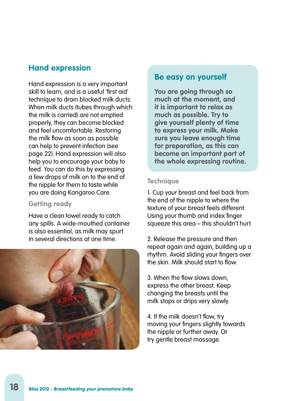#### **Hand expression**

Hand expression is a very important skill to learn, and is a useful 'first aid' technique to drain blocked milk ducts. When milk ducts (tubes through which the milk is carried) are not emptied properly, they can become blocked and feel uncomfortable. Restoring the milk flow as soon as possible can help to prevent infection (see page 22). Hand expression will also help you to encourage your baby to feed. You can do this by expressing a few drops of milk on to the end of the nipple for them to taste while you are doing Kangaroo Care.

#### **Getting ready**

Have a clean towel ready to catch any spills. A wide-mouthed container is also essential, as milk may spurt in several directions at one time.



#### **Be easy on yourself**

You are going through so much at the moment, and it is important to relax as much as possible. Try to give yourself plenty of time to express your milk. Make sure you leave enough time for preparation, as this can become an important part of the whole expressing routine.

#### **Technique**

1. Cup your breast and feel back from the end of the nipple to where the texture of your breast feels different. Using your thumb and index finger squeeze this area – this shouldn't hurt.

2. Release the pressure and then repeat again and again, building up a rhythm. Avoid sliding your fingers over the skin. Milk should start to flow.

3. When the flow slows down, express the other breast. Keep changing the breasts until the milk stops or drips very slowly.

4. If the milk doesn't flow, try moving your fingers slightly towards the nipple or further away. Or try gentle breast massage.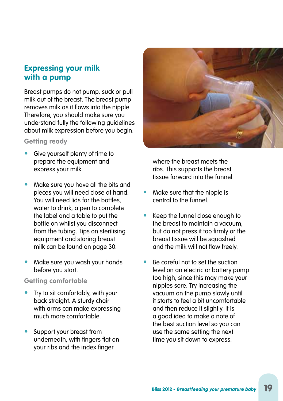#### **Expressing your milk with a pump**

Breast pumps do not pump, suck or pull milk out of the breast. The breast pump removes milk as it flows into the nipple. Therefore, you should make sure you understand fully the following guidelines about milk expression before you begin.

#### **Getting ready**

- Give yourself plenty of time to prepare the equipment and express your milk.
- Make sure you have all the bits and pieces you will need close at hand. You will need lids for the bottles, water to drink, a pen to complete the label and a table to put the bottle on whilst you disconnect from the tubing. Tips on sterilising equipment and storing breast milk can be found on page 30.
- Make sure you wash your hands before you start.

#### **Getting comfortable**

- Try to sit comfortably, with your back straight. A sturdy chair with arms can make expressing much more comfortable.
- Support your breast from underneath, with fingers flat on your ribs and the index finger



where the breast meets the ribs. This supports the breast tissue forward into the funnel.

- Make sure that the nipple is central to the funnel.
- Keep the funnel close enough to the breast to maintain a vacuum, but do not press it too firmly or the breast tissue will be squashed and the milk will not flow freely.
- Be careful not to set the suction level on an electric or battery pump too high, since this may make your nipples sore. Try increasing the vacuum on the pump slowly until it starts to feel a bit uncomfortable and then reduce it slightly. It is a good idea to make a note of the best suction level so you can use the same setting the next time you sit down to express.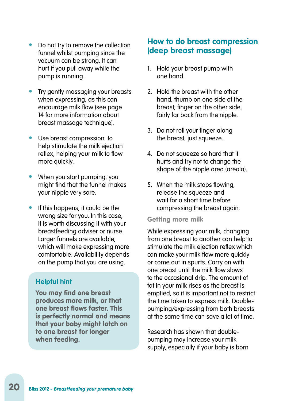- Do not try to remove the collection funnel whilst pumping since the vacuum can be strong. It can hurt if you pull away while the pump is running.
- Try gently massaging your breasts when expressing, as this can encourage milk flow (see page 14 for more information about breast massage technique).
- Use breast compression to help stimulate the milk ejection reflex, helping your milk to flow more quickly.
- When you start pumping, you might find that the funnel makes your nipple very sore.
- If this happens, it could be the wrong size for you. In this case, it is worth discussing it with your breastfeeding adviser or nurse. Larger funnels are available, which will make expressing more comfortable. Availability depends on the pump that you are using.

#### **Helpful hint**

You may find one breast produces more milk, or that one breast flows faster. This is perfectly normal and means that your baby might latch on to one breast for longer when feeding.

#### **How to do breast compression (deep breast massage)**

- 1. Hold your breast pump with one hand.
- 2. Hold the breast with the other hand, thumb on one side of the breast, finger on the other side, fairly far back from the nipple.
- 3. Do not roll your finger along the breast, just squeeze.
- 4. Do not squeeze so hard that it hurts and try not to change the shape of the nipple area (areola).
- 5. When the milk stops flowing, release the squeeze and wait for a short time before compressing the breast again.

#### **Getting more milk**

While expressing your milk, changing from one breast to another can help to stimulate the milk ejection reflex which can make your milk flow more quickly or come out in spurts. Carry on with one breast until the milk flow slows to the occasional drip. The amount of fat in your milk rises as the breast is emptied, so it is important not to restrict the time taken to express milk. Doublepumping/expressing from both breasts at the same time can save a lot of time.

Research has shown that doublepumping may increase your milk supply, especially if your baby is born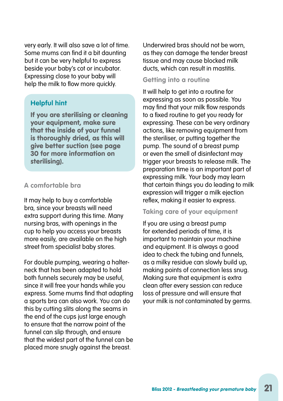very early. It will also save a lot of time. Some mums can find it a bit daunting but it can be very helpful to express beside your baby's cot or incubator. Expressing close to your baby will help the milk to flow more quickly.

#### **Helpful hint**

If you are sterilising or cleaning your equipment, make sure that the inside of your funnel is thoroughly dried, as this will give better suction (see page 30 for more information on sterilising).

#### **A comfortable bra**

It may help to buy a comfortable bra, since your breasts will need extra support during this time. Many nursing bras, with openings in the cup to help you access your breasts more easily, are available on the high street from specialist baby stores.

For double pumping, wearing a halterneck that has been adapted to hold both funnels securely may be useful, since it will free your hands while you express. Some mums find that adapting a sports bra can also work. You can do this by cutting slits along the seams in the end of the cups just large enough to ensure that the narrow point of the funnel can slip through, and ensure that the widest part of the funnel can be placed more snugly against the breast.

Underwired bras should not be worn, as they can damage the tender breast tissue and may cause blocked milk ducts, which can result in mastitis.

#### **Getting into a routine**

It will help to get into a routine for expressing as soon as possible. You may find that your milk flow responds to a fixed routine to get you ready for expressing. These can be very ordinary actions, like removing equipment from the steriliser, or putting together the pump. The sound of a breast pump or even the smell of disinfectant may trigger your breasts to release milk. The preparation time is an important part of expressing milk. Your body may learn that certain things you do leading to milk expression will trigger a milk ejection reflex, making it easier to express.

#### **Taking care of your equipment**

If you are using a breast pump for extended periods of time, it is important to maintain your machine and equipment. It is always a good idea to check the tubing and funnels, as a milky residue can slowly build up, making points of connection less snug. Making sure that equipment is extra clean after every session can reduce loss of pressure and will ensure that your milk is not contaminated by germs.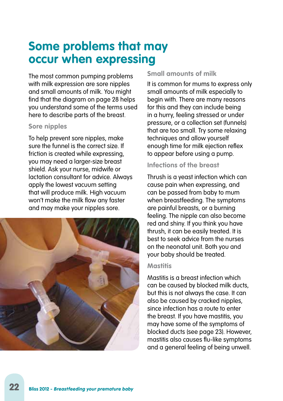### **Some problems that may occur when expressing**

The most common pumping problems with milk expression are sore nipples and small amounts of milk. You might find that the diagram on page 28 helps you understand some of the terms used here to describe parts of the breast.

#### **Sore nipples**

To help prevent sore nipples, make sure the funnel is the correct size. If friction is created while expressing, you may need a larger-size breast shield. Ask your nurse, midwife or lactation consultant for advice. Always apply the lowest vacuum setting that will produce milk. High vacuum won't make the milk flow any faster and may make your nipples sore.



#### **Small amounts of milk**

It is common for mums to express only small amounts of milk especially to begin with. There are many reasons for this and they can include being in a hurry, feeling stressed or under pressure, or a collection set (funnels) that are too small. Try some relaxing techniques and allow yourself enough time for milk ejection reflex to appear before using a pump.

#### **Infections of the breast**

Thrush is a yeast infection which can cause pain when expressing, and can be passed from baby to mum when breastfeeding. The symptoms are painful breasts, or a burning feeling. The nipple can also become red and shiny. If you think you have thrush, it can be easily treated. It is best to seek advice from the nurses on the neonatal unit. Both you and your baby should be treated.

#### **Mastitis**

Mastitis is a breast infection which can be caused by blocked milk ducts, but this is not always the case. It can also be caused by cracked nipples, since infection has a route to enter the breast. If you have mastitis, you may have some of the symptoms of blocked ducts (see page 23). However, mastitis also causes flu-like symptoms and a general feeling of being unwell.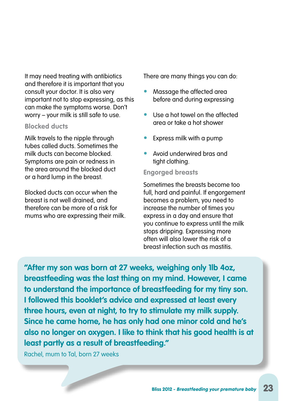It may need treating with antibiotics and therefore it is important that you consult your doctor. It is also very important not to stop expressing, as this can make the symptoms worse. Don't worry – your milk is still safe to use.

#### **Blocked ducts**

Milk travels to the nipple through tubes called ducts. Sometimes the milk ducts can become blocked. Symptoms are pain or redness in the area around the blocked duct or a hard lump in the breast.

Blocked ducts can occur when the breast is not well drained, and therefore can be more of a risk for mums who are expressing their milk. There are many things you can do:

- Massage the affected area before and during expressing
- Use a hot towel on the affected area or take a hot shower
- Express milk with a pump
- Avoid underwired bras and tight clothing.

#### **Engorged breasts**

Sometimes the breasts become too full, hard and painful. If engorgement becomes a problem, you need to increase the number of times you express in a day and ensure that you continue to express until the milk stops dripping. Expressing more often will also lower the risk of a breast infection such as mastitis.

**"After my son was born at 27 weeks, weighing only 1lb 4oz, breastfeeding was the last thing on my mind. However, I came to understand the importance of breastfeeding for my tiny son. I followed this booklet's advice and expressed at least every three hours, even at night, to try to stimulate my milk supply. Since he came home, he has only had one minor cold and he's also no longer on oxygen. I like to think that his good health is at least partly as a result of breastfeeding."**

Rachel, mum to Tal, born 27 weeks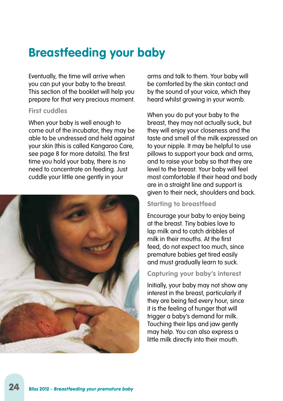### **Breastfeeding your baby**

Eventually, the time will arrive when you can put your baby to the breast. This section of the booklet will help you prepare for that very precious moment.

#### **First cuddles**

When your baby is well enough to come out of the incubator, they may be able to be undressed and held against your skin (this is called Kangaroo Care, see page 8 for more details). The first time you hold your baby, there is no need to concentrate on feeding. Just cuddle your little one gently in your



arms and talk to them. Your baby will be comforted by the skin contact and by the sound of your voice, which they heard whilst growing in your womb.

When you do put your baby to the breast, they may not actually suck, but they will enjoy your closeness and the taste and smell of the milk expressed on to your nipple. It may be helpful to use pillows to support your back and arms, and to raise your baby so that they are level to the breast. Your baby will feel most comfortable if their head and body are in a straight line and support is given to their neck, shoulders and back.

#### **Starting to breastfeed**

Encourage your baby to enjoy being at the breast. Tiny babies love to lap milk and to catch dribbles of milk in their mouths. At the first feed, do not expect too much, since premature babies get tired easily and must gradually learn to suck.

#### **Capturing your baby's interest**

Initially, your baby may not show any interest in the breast, particularly if they are being fed every hour, since it is the feeling of hunger that will trigger a baby's demand for milk. Touching their lips and jaw gently may help. You can also express a little milk directly into their mouth.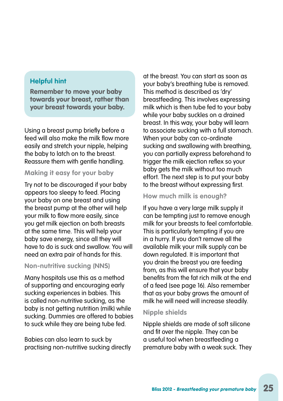#### **Helpful hint**

Remember to move your baby towards your breast, rather than your breast towards your baby.

Using a breast pump briefly before a feed will also make the milk flow more easily and stretch your nipple, helping the baby to latch on to the breast. Reassure them with gentle handling.

#### **Making it easy for your baby**

Try not to be discouraged if your baby appears too sleepy to feed. Placing your baby on one breast and using the breast pump at the other will help your milk to flow more easily, since you get milk ejection on both breasts at the same time. This will help your baby save energy, since all they will have to do is suck and swallow. You will need an extra pair of hands for this.

#### **Non-nutritive sucking (NNS)**

Many hospitals use this as a method of supporting and encouraging early sucking experiences in babies. This is called non-nutritive sucking, as the baby is not getting nutrition (milk) while sucking. Dummies are offered to babies to suck while they are being tube fed.

Babies can also learn to suck by practising non-nutritive sucking directly at the breast. You can start as soon as your baby's breathing tube is removed. This method is described as 'dry' breastfeeding. This involves expressing milk which is then tube fed to your baby while your baby suckles on a drained breast. In this way, your baby will learn to associate sucking with a full stomach. When your baby can co-ordinate sucking and swallowing with breathing, you can partially express beforehand to trigger the milk ejection reflex so your baby gets the milk without too much effort. The next step is to put your baby to the breast without expressing first.

#### **How much milk is enough?**

If you have a very large milk supply it can be tempting just to remove enough milk for your breasts to feel comfortable. This is particularly tempting if you are in a hurry. If you don't remove all the available milk your milk supply can be down regulated. It is important that you drain the breast you are feeding from, as this will ensure that your baby benefits from the fat rich milk at the end of a feed (see page 16). Also remember that as your baby grows the amount of milk he will need will increase steadily.

#### **Nipple shields**

Nipple shields are made of soft silicone and fit over the nipple. They can be a useful tool when breastfeeding a premature baby with a weak suck. They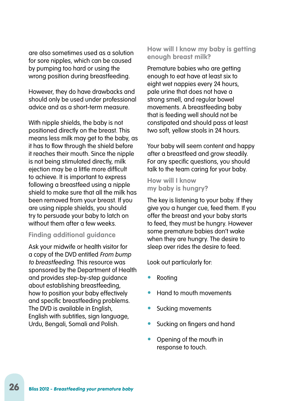are also sometimes used as a solution for sore nipples, which can be caused by pumping too hard or using the wrong position during breastfeeding.

However, they do have drawbacks and should only be used under professional advice and as a short-term measure.

With nipple shields, the baby is not positioned directly on the breast. This means less milk may get to the baby, as it has to flow through the shield before it reaches their mouth. Since the nipple is not being stimulated directly, milk ejection may be a little more difficult to achieve. It is important to express following a breastfeed using a nipple shield to make sure that all the milk has been removed from your breast. If you are using nipple shields, you should try to persuade your baby to latch on without them after a few weeks.

#### **Finding additional guidance**

Ask your midwife or health visitor for a copy of the DVD entitled From bump to breastfeeding. This resource was sponsored by the Department of Health and provides step-by-step guidance about establishing breastfeeding, how to position your baby effectively and specific breastfeeding problems. The DVD is available in English, English with subtitles, sign language, Urdu, Bengali, Somali and Polish.

**How will I know my baby is getting enough breast milk?**

Premature babies who are getting enough to eat have at least six to eight wet nappies every 24 hours, pale urine that does not have a strong smell, and regular bowel movements. A breastfeeding baby that is feeding well should not be constipated and should pass at least two soft, yellow stools in 24 hours.

Your baby will seem content and happy after a breastfeed and grow steadily. For any specific questions, you should talk to the team caring for your baby.

**How will I know my baby is hungry?**

The key is listening to your baby. If they give you a hunger cue, feed them. If you offer the breast and your baby starts to feed, they must be hungry. However some premature babies don't wake when they are hungry. The desire to sleep over rides the desire to feed.

Look out particularly for:

- Rooting
- Hand to mouth movements
- Sucking movements
- Sucking on fingers and hand
- Opening of the mouth in response to touch.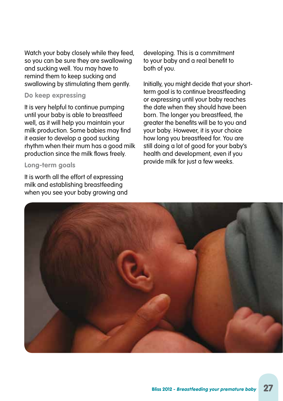Watch your baby closely while they feed. so you can be sure they are swallowing and sucking well. You may have to remind them to keep sucking and swallowing by stimulating them gently.

#### **Do keep expressing**

It is very helpful to continue pumping until your baby is able to breastfeed well, as it will help you maintain your milk production. Some babies may find it easier to develop a good sucking rhythm when their mum has a good milk production since the milk flows freely.

#### **Long-term goals**

It is worth all the effort of expressing milk and establishing breastfeeding when you see your baby growing and developing. This is a commitment to your baby and a real benefit to both of you.

Initially, you might decide that your shortterm goal is to continue breastfeeding or expressing until your baby reaches the date when they should have been born. The longer you breastfeed, the greater the benefits will be to you and your baby. However, it is your choice how long you breastfeed for. You are still doing a lot of good for your baby's health and development, even if you provide milk for just a few weeks.

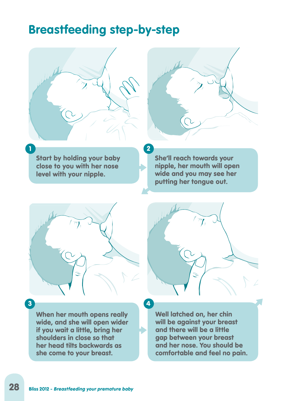### **Breastfeeding step-by-step**





#### 1

Start by holding your baby close to you with her nose level with your nipple.

#### 2

She'll reach towards your nipple, her mouth will open wide and you may see her putting her tongue out.





#### 3 4

When her mouth opens really wide, and she will open wider if you wait a little, bring her shoulders in close so that her head tilts backwards as she come to your breast.

Well latched on, her chin will be against your breast and there will be a little gap between your breast and her nose. You should be comfortable and feel no pain.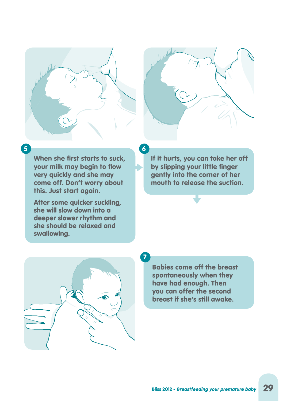



#### 3  $\overline{\phantom{a}}$  6

When she first starts to suck, your milk may begin to flow very quickly and she may come off. Don't worry about this. Just start again.

After some quicker suckling, she will slow down into a deeper slower rhythm and she should be relaxed and swallowing.

If it hurts, you can take her off by slipping your little finger gently into the corner of her mouth to release the suction.



Babies come off the breast spontaneously when they have had enough. Then you can offer the second breast if she's still awake.

7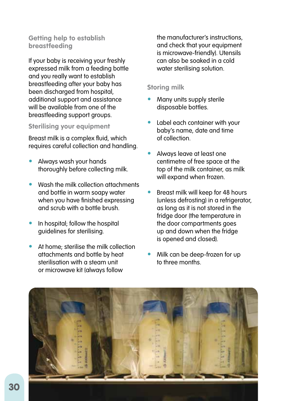#### **Getting help to establish breastfeeding**

If your baby is receiving your freshly expressed milk from a feeding bottle and you really want to establish breastfeeding after your baby has been discharged from hospital, additional support and assistance will be available from one of the breastfeeding support groups.

#### **Sterilising your equipment**

Breast milk is a complex fluid, which requires careful collection and handling.

- Always wash your hands thoroughly before collecting milk.
- Wash the milk collection attachments and bottle in warm soapy water when you have finished expressing and scrub with a bottle brush.
- In hospital: follow the hospital guidelines for sterilising.
- At home; sterilise the milk collection attachments and bottle by heat sterilisation with a steam unit or microwave kit (always follow

the manufacturer's instructions, and check that your equipment is microwave-friendly). Utensils can also be soaked in a cold water sterilising solution.

#### **Storing milk**

- Many units supply sterile disposable bottles.
- Label each container with your baby's name, date and time of collection.
- Always leave at least one centimetre of free space at the top of the milk container, as milk will expand when frozen.
- Breast milk will keep for 48 hours (unless defrosting) in a refrigerator, as long as it is not stored in the fridge door (the temperature in the door compartments goes up and down when the fridge is opened and closed).
- Milk can be deep-frozen for up to three months.

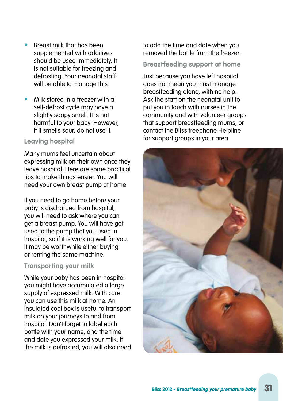- Breast milk that has been supplemented with additives should be used immediately. It is not suitable for freezing and defrosting. Your neonatal staff will be able to manage this.
- Milk stored in a freezer with a self-defrost cycle may have a slightly soapy smell. It is not harmful to your baby. However, if it smells sour, do not use it.

#### **Leaving hospital**

Many mums feel uncertain about expressing milk on their own once they leave hospital. Here are some practical tips to make things easier. You will need your own breast pump at home.

If you need to go home before your baby is discharged from hospital, you will need to ask where you can get a breast pump. You will have got used to the pump that you used in hospital, so if it is working well for you, it may be worthwhile either buying or renting the same machine.

#### **Transporting your milk**

While your baby has been in hospital you might have accumulated a large supply of expressed milk. With care you can use this milk at home. An insulated cool box is useful to transport milk on your journeys to and from hospital. Don't forget to label each bottle with your name, and the time and date you expressed your milk. If the milk is defrosted, you will also need to add the time and date when you removed the bottle from the freezer.

#### **Breastfeeding support at home**

Just because you have left hospital does not mean you must manage breastfeeding alone, with no help. Ask the staff on the neonatal unit to put you in touch with nurses in the community and with volunteer groups that support breastfeeding mums, or contact the Bliss freephone Helpline for support groups in your area.

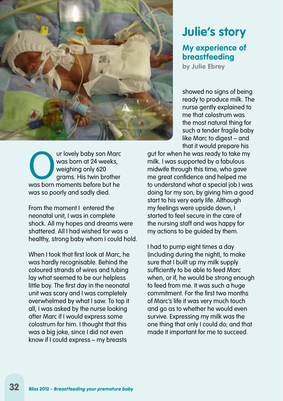

Our lovely baby son Marc<br>
was born at 24 weeks,<br>
weighing only 620<br>
grams. His twin brother<br>
was born moments before but he was born at 24 weeks, weighing only 620 grams. His twin brother was so poorly and sadly died.

From the moment I entered the neonatal unit, I was in complete shock. All my hopes and dreams were shattered. All I had wished for was a healthy, strong baby whom I could hold.

When I took that first look at Marc, he was hardly recognisable. Behind the coloured strands of wires and tubing lay what seemed to be our helpless little boy. The first day in the neonatal unit was scary and I was completely overwhelmed by what I saw. To top it all, I was asked by the nurse looking after Marc if I would express some colostrum for him. I thought that this was a big joke, since I did not even know if I could express – my breasts

### **Julie's story**

**My experience of breastfeeding by Julie Ebrey**

showed no signs of being ready to produce milk. The nurse gently explained to me that colostrum was the most natural thing for such a tender fragile baby like Marc to digest – and that it would prepare his

gut for when he was ready to take my milk. I was supported by a fabulous midwife through this time, who gave me great confidence and helped me to understand what a special job I was doing for my son, by giving him a good start to his very early life. Although my feelings were upside down, I started to feel secure in the care of the nursing staff and was happy for my actions to be guided by them.

I had to pump eight times a day (including during the night), to make sure that I built up my milk supply sufficiently to be able to feed Marc when, or if, he would be strong enough to feed from me. It was such a huge commitment. For the first two months of Marc's life it was very much touch and go as to whether he would even survive. Expressing my milk was the one thing that only I could do; and that made it important for me to succeed.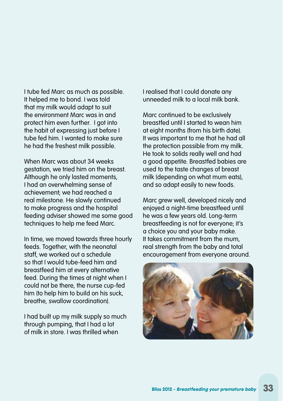I tube fed Marc as much as possible. It helped me to bond. I was told that my milk would adapt to suit the environment Marc was in and protect him even further. I got into the habit of expressing just before I tube fed him. I wanted to make sure he had the freshest milk possible.

When Marc was about 34 weeks gestation, we tried him on the breast. Although he only lasted moments, I had an overwhelming sense of achievement; we had reached a real milestone. He slowly continued to make progress and the hospital feeding adviser showed me some good techniques to help me feed Marc.

In time, we moved towards three hourly feeds. Together, with the neonatal staff, we worked out a schedule so that I would tube-feed him and breastfeed him at every alternative feed. During the times at night when I could not be there, the nurse cup-fed him (to help him to build on his suck, breathe, swallow coordination).

I had built up my milk supply so much through pumping, that I had a lot of milk in store. I was thrilled when

I realised that I could donate any unneeded milk to a local milk bank.

Marc continued to be exclusively breastfed until I started to wean him at eight months (from his birth date). It was important to me that he had all the protection possible from my milk. He took to solids really well and had a good appetite. Breastfed babies are used to the taste changes of breast milk (depending on what mum eats), and so adapt easily to new foods.

Marc grew well, developed nicely and enjoyed a night-time breastfeed until he was a few years old. Long-term breastfeeding is not for everyone; it's a choice you and your baby make. It takes commitment from the mum, real strength from the baby and total encouragement from everyone around.

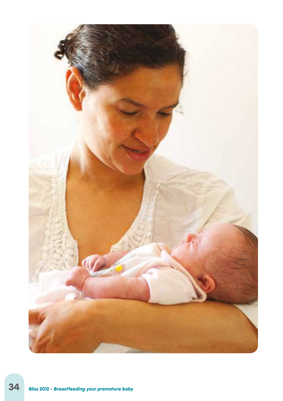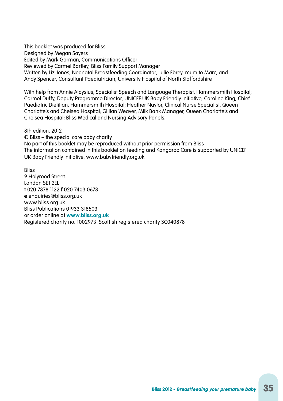This booklet was produced for Bliss Designed by Megan Sayers Edited by Mark Gorman, Communications Officer Reviewed by Carmel Bartley, Bliss Family Support Manager Written by Liz Jones, Neonatal Breastfeeding Coordinator, Julie Ebrey, mum to Marc, and Andy Spencer, Consultant Paediatrician, University Hospital of North Staffordshire

With help from Annie Aloysius, Specialist Speech and Language Therapist, Hammersmith Hospital; Carmel Duffy, Deputy Programme Director, UNICEF UK Baby Friendly Initiative; Caroline King, Chief Paediatric Dietitian, Hammersmith Hospital; Heather Naylor, Clinical Nurse Specialist, Queen Charlotte's and Chelsea Hospital; Gillian Weaver, Milk Bank Manager, Queen Charlotte's and Chelsea Hospital; Bliss Medical and Nursing Advisory Panels.

8th edition, 2012

© Bliss – the special care baby charity No part of this booklet may be reproduced without prior permission from Bliss The information contained in this booklet on feeding and Kangaroo Care is supported by UNICEF UK Baby Friendly Initiative. www.babyfriendly.org.uk

Bliss 9 Holyrood Street London SE1 2EL **t** 020 7378 1122 **f** 020 7403 0673 **e** enquiries@bliss.org.uk www.bliss.org.uk Bliss Publications 01933 318503 or order online at **www.bliss.org.uk** Registered charity no. 1002973 Scottish registered charity SC040878